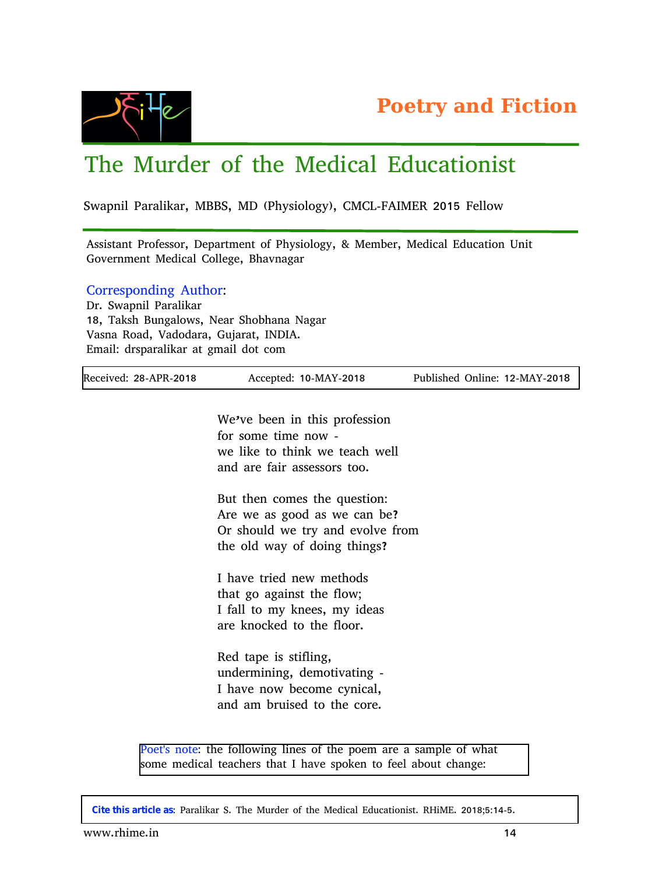

## The Murder of the Medical Educationist

Swapnil Paralikar, MBBS, MD (Physiology), CMCL-FAIMER 2015 Fellow

Assistant Professor, Department of Physiology, & Member, Medical Education Unit Government Medical College, Bhavnagar

Corresponding Author:

Dr. Swapnil Paralikar 18, Taksh Bungalows, Near Shobhana Nagar Vasna Road, Vadodara, Gujarat, INDIA. Email: drsparalikar at gmail dot com

| Received: 28-APR-2018 | Accepted: 10-MAY-2018                                     | Published Online: 12-MAY-2018 |
|-----------------------|-----------------------------------------------------------|-------------------------------|
|                       |                                                           |                               |
|                       | We've been in this profession                             |                               |
|                       | for some time now -                                       |                               |
|                       | we like to think we teach well                            |                               |
|                       | and are fair assessors too.                               |                               |
|                       | But then comes the question:                              |                               |
|                       | Are we as good as we can be?                              |                               |
|                       | Or should we try and evolve from                          |                               |
|                       | the old way of doing things?                              |                               |
|                       | I have tried new methods                                  |                               |
|                       | that go against the flow;                                 |                               |
|                       | I fall to my knees, my ideas                              |                               |
|                       | are knocked to the floor.                                 |                               |
|                       | Red tape is stifling,<br>undermining, demotivating -      |                               |
|                       | I have now become cynical,<br>and am bruised to the core. |                               |
|                       |                                                           |                               |

Poet's note: the following lines of the poem are a sample of what some medical teachers that I have spoken to feel about change:

**Cite this article as**: Paralikar S. The Murder of the Medical Educationist. RHiME. 2018;5:14-5.